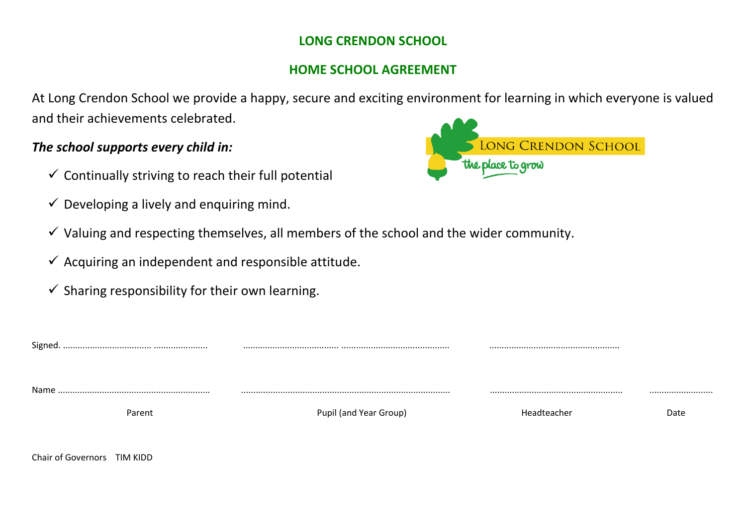## **LONG CRENDON SCHOOL**

## **HOME SCHOOL AGREEMENT**

At Long Crendon School we provide a happy, secure and exciting environment for learning in which everyone is valued and their achievements celebrated.

## *The school supports every child in:*

Chair of Governors TIM KIDD

- $\checkmark$  Continually striving to reach their full potential
- $\checkmark$  Developing a lively and enquiring mind.
- $\checkmark$  Valuing and respecting themselves, all members of the school and the wider community.
- $\checkmark$  Acquiring an independent and responsible attitude.
- $\checkmark$  Sharing responsibility for their own learning.



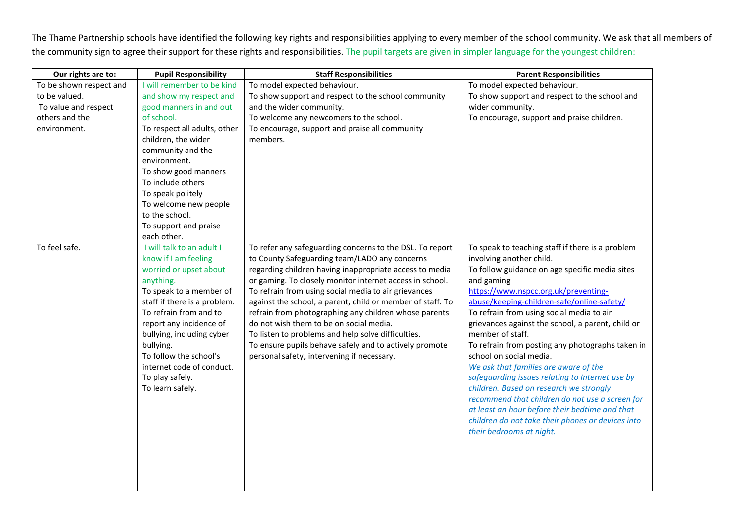The Thame Partnership schools have identified the following key rights and responsibilities applying to every member of the school community. We ask that all members of the community sign to agree their support for these rights and responsibilities. The pupil targets are given in simpler language for the youngest children:

| Our rights are to:      | <b>Pupil Responsibility</b>                                                                                                                                                                                                                                                                                                                      | <b>Staff Responsibilities</b>                                                                                                                                                                                                                                                                                                                                                                                                                                                                                                                                                                                            | <b>Parent Responsibilities</b>                                                                                                                                                                                                                                                                                                                                                                                                                                                                                                                                                                                                                                                                                                                                       |
|-------------------------|--------------------------------------------------------------------------------------------------------------------------------------------------------------------------------------------------------------------------------------------------------------------------------------------------------------------------------------------------|--------------------------------------------------------------------------------------------------------------------------------------------------------------------------------------------------------------------------------------------------------------------------------------------------------------------------------------------------------------------------------------------------------------------------------------------------------------------------------------------------------------------------------------------------------------------------------------------------------------------------|----------------------------------------------------------------------------------------------------------------------------------------------------------------------------------------------------------------------------------------------------------------------------------------------------------------------------------------------------------------------------------------------------------------------------------------------------------------------------------------------------------------------------------------------------------------------------------------------------------------------------------------------------------------------------------------------------------------------------------------------------------------------|
| To be shown respect and | I will remember to be kind                                                                                                                                                                                                                                                                                                                       | To model expected behaviour.                                                                                                                                                                                                                                                                                                                                                                                                                                                                                                                                                                                             | To model expected behaviour.                                                                                                                                                                                                                                                                                                                                                                                                                                                                                                                                                                                                                                                                                                                                         |
| to be valued.           | and show my respect and                                                                                                                                                                                                                                                                                                                          | To show support and respect to the school community                                                                                                                                                                                                                                                                                                                                                                                                                                                                                                                                                                      | To show support and respect to the school and                                                                                                                                                                                                                                                                                                                                                                                                                                                                                                                                                                                                                                                                                                                        |
| To value and respect    | good manners in and out                                                                                                                                                                                                                                                                                                                          | and the wider community.                                                                                                                                                                                                                                                                                                                                                                                                                                                                                                                                                                                                 | wider community.                                                                                                                                                                                                                                                                                                                                                                                                                                                                                                                                                                                                                                                                                                                                                     |
| others and the          | of school.                                                                                                                                                                                                                                                                                                                                       | To welcome any newcomers to the school.                                                                                                                                                                                                                                                                                                                                                                                                                                                                                                                                                                                  | To encourage, support and praise children.                                                                                                                                                                                                                                                                                                                                                                                                                                                                                                                                                                                                                                                                                                                           |
| environment.            | To respect all adults, other                                                                                                                                                                                                                                                                                                                     | To encourage, support and praise all community                                                                                                                                                                                                                                                                                                                                                                                                                                                                                                                                                                           |                                                                                                                                                                                                                                                                                                                                                                                                                                                                                                                                                                                                                                                                                                                                                                      |
|                         | children, the wider                                                                                                                                                                                                                                                                                                                              | members.                                                                                                                                                                                                                                                                                                                                                                                                                                                                                                                                                                                                                 |                                                                                                                                                                                                                                                                                                                                                                                                                                                                                                                                                                                                                                                                                                                                                                      |
|                         | community and the                                                                                                                                                                                                                                                                                                                                |                                                                                                                                                                                                                                                                                                                                                                                                                                                                                                                                                                                                                          |                                                                                                                                                                                                                                                                                                                                                                                                                                                                                                                                                                                                                                                                                                                                                                      |
|                         | environment.                                                                                                                                                                                                                                                                                                                                     |                                                                                                                                                                                                                                                                                                                                                                                                                                                                                                                                                                                                                          |                                                                                                                                                                                                                                                                                                                                                                                                                                                                                                                                                                                                                                                                                                                                                                      |
|                         | To show good manners                                                                                                                                                                                                                                                                                                                             |                                                                                                                                                                                                                                                                                                                                                                                                                                                                                                                                                                                                                          |                                                                                                                                                                                                                                                                                                                                                                                                                                                                                                                                                                                                                                                                                                                                                                      |
|                         | To include others                                                                                                                                                                                                                                                                                                                                |                                                                                                                                                                                                                                                                                                                                                                                                                                                                                                                                                                                                                          |                                                                                                                                                                                                                                                                                                                                                                                                                                                                                                                                                                                                                                                                                                                                                                      |
|                         | To speak politely                                                                                                                                                                                                                                                                                                                                |                                                                                                                                                                                                                                                                                                                                                                                                                                                                                                                                                                                                                          |                                                                                                                                                                                                                                                                                                                                                                                                                                                                                                                                                                                                                                                                                                                                                                      |
|                         | To welcome new people                                                                                                                                                                                                                                                                                                                            |                                                                                                                                                                                                                                                                                                                                                                                                                                                                                                                                                                                                                          |                                                                                                                                                                                                                                                                                                                                                                                                                                                                                                                                                                                                                                                                                                                                                                      |
|                         | to the school.                                                                                                                                                                                                                                                                                                                                   |                                                                                                                                                                                                                                                                                                                                                                                                                                                                                                                                                                                                                          |                                                                                                                                                                                                                                                                                                                                                                                                                                                                                                                                                                                                                                                                                                                                                                      |
|                         | To support and praise                                                                                                                                                                                                                                                                                                                            |                                                                                                                                                                                                                                                                                                                                                                                                                                                                                                                                                                                                                          |                                                                                                                                                                                                                                                                                                                                                                                                                                                                                                                                                                                                                                                                                                                                                                      |
|                         | each other.                                                                                                                                                                                                                                                                                                                                      |                                                                                                                                                                                                                                                                                                                                                                                                                                                                                                                                                                                                                          |                                                                                                                                                                                                                                                                                                                                                                                                                                                                                                                                                                                                                                                                                                                                                                      |
| To feel safe.           | I will talk to an adult I<br>know if I am feeling<br>worried or upset about<br>anything.<br>To speak to a member of<br>staff if there is a problem.<br>To refrain from and to<br>report any incidence of<br>bullying, including cyber<br>bullying.<br>To follow the school's<br>internet code of conduct.<br>To play safely.<br>To learn safely. | To refer any safeguarding concerns to the DSL. To report<br>to County Safeguarding team/LADO any concerns<br>regarding children having inappropriate access to media<br>or gaming. To closely monitor internet access in school.<br>To refrain from using social media to air grievances<br>against the school, a parent, child or member of staff. To<br>refrain from photographing any children whose parents<br>do not wish them to be on social media.<br>To listen to problems and help solve difficulties.<br>To ensure pupils behave safely and to actively promote<br>personal safety, intervening if necessary. | To speak to teaching staff if there is a problem<br>involving another child.<br>To follow guidance on age specific media sites<br>and gaming<br>https://www.nspcc.org.uk/preventing-<br>abuse/keeping-children-safe/online-safety/<br>To refrain from using social media to air<br>grievances against the school, a parent, child or<br>member of staff.<br>To refrain from posting any photographs taken in<br>school on social media.<br>We ask that families are aware of the<br>safeguarding issues relating to Internet use by<br>children. Based on research we strongly<br>recommend that children do not use a screen for<br>at least an hour before their bedtime and that<br>children do not take their phones or devices into<br>their bedrooms at night. |